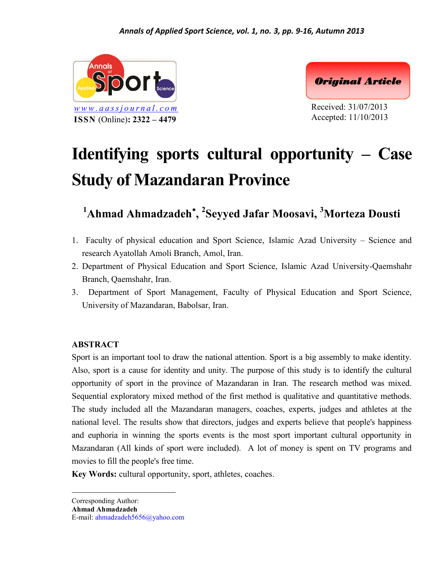

**ISSN** (Online)**: 2322 – 4479**



Received: 31/07/2013 Accepted: 11/10/2013

# **Identifying sports cultural opportunity – Case Study of Mazandaran Province**

**<sup>1</sup>Ahmad Ahmadzadeh , <sup>2</sup>Seyyed Jafar Moosavi, <sup>3</sup>Morteza Dousti**

- 1. Faculty of physical education and Sport Science, Islamic Azad University Science and research Ayatollah Amoli Branch, Amol, Iran.
- 2. Department of Physical Education and Sport Science, Islamic Azad University-Qaemshahr Branch, Qaemshahr, Iran.
- 3. Department of Sport Management, Faculty of Physical Education and Sport Science, University of Mazandaran, Babolsar, Iran.

# **ABSTRACT**

Sport is an important tool to draw the national attention. Sport is a big assembly to make identity. Also, sport is a cause for identity and unity. The purpose of this study is to identify the cultural opportunity of sport in the province of Mazandaran in Iran. The research method was mixed. Sequential exploratory mixed method of the first method is qualitative and quantitative methods. The study included all the Mazandaran managers, coaches, experts, judges and athletes at the national level. The results show that directors, judges and experts believe that people's happiness and euphoria in winning the sports events is the most sport important cultural opportunity in Mazandaran (All kinds of sport were included). A lot of money is spent on TV programs and movies to fill the people's free time.

**Key Words:** cultural opportunity, sport, athletes, coaches.

Corresponding Author:

**Ahmad Ahmadzadeh**

E-mail: ahmadzadeh5656@yahoo.com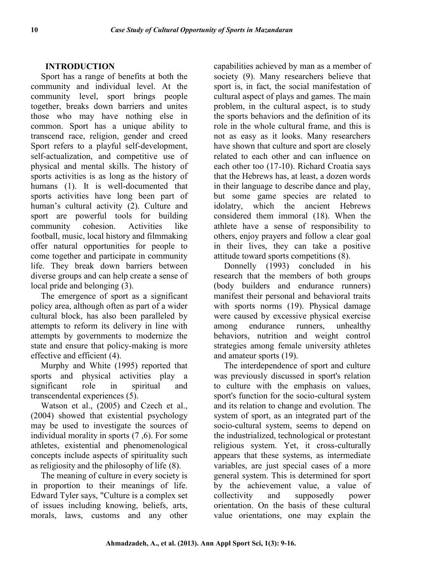## **INTRODUCTION**

Sport has a range of benefits at both the community and individual level. At the community level, sport brings people together, breaks down barriers and unites those who may have nothing else in common. Sport has a unique ability to transcend race, religion, gender and creed Sport refers to a playful self-development, self-actualization, and competitive use of physical and mental skills. The history of sports activities is as long as the history of humans (1). It is well-documented that sports activities have long been part of human's cultural activity (2). Culture and idolatry, sport are powerful tools for building community cohesion. Activities like football, music, local history and filmmaking offer natural opportunities for people to come together and participate in community life. They break down barriers between diverse groups and can help create a sense of local pride and belonging (3).

The emergence of sport as a significant policy area, although often as part of a wider cultural block, has also been paralleled by attempts to reform its delivery in line with attempts by governments to modernize the state and ensure that policy-making is more effective and efficient (4).

Murphy and White (1995) reported that sports and physical activities play a significant role in spiritual and transcendental experiences (5).

Watson et al., (2005) and Czech et al., (2004) showed that existential psychology may be used to investigate the sources of individual morality in sports (7 ,6). For some athletes, existential and phenomenological concepts include aspects of spirituality such as religiosity and the philosophy of life (8).

The meaning of culture in every society is in proportion to their meanings of life. Edward Tyler says, "Culture is a complex set of issues including knowing, beliefs, arts, morals, laws, customs and any other capabilities achieved by man as a member of society (9). Many researchers believe that sport is, in fact, the social manifestation of cultural aspect of plays and games. The main problem, in the cultural aspect, is to study the sports behaviors and the definition of its role in the whole cultural frame, and this is not as easy as it looks. Many researchers have shown that culture and sport are closely related to each other and can influence on each other too (17-10). Richard Croatia says that the Hebrews has, at least, a dozen words in their language to describe dance and play, but some game species are related to which the ancient Hebrews considered them immoral (18). When the athlete have a sense of responsibility to others, enjoy prayers and follow a clear goal in their lives, they can take a positive attitude toward sports competitions (8).

Donnelly (1993) concluded in his research that the members of both groups (body builders and endurance runners) manifest their personal and behavioral traits with sports norms (19). Physical damage were caused by excessive physical exercise endurance runners, unhealthy behaviors, nutrition and weight control strategies among female university athletes and amateur sports (19).

The interdependence of sport and culture was previously discussed in sport's relation to culture with the emphasis on values, sport's function for the socio-cultural system and its relation to change and evolution. The system of sport, as an integrated part of the socio-cultural system, seems to depend on the industrialized, technological or protestant religious system. Yet, it cross-culturally appears that these systems, as intermediate variables, are just special cases of a more general system. This is determined for sport by the achievement value, a value of collectivity and supposedly power orientation. On the basis of these cultural value orientations, one may explain the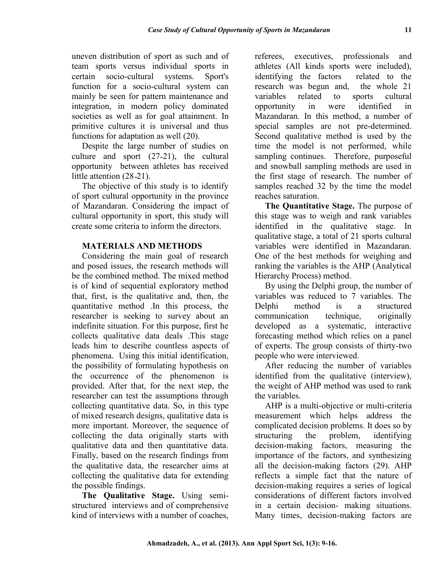uneven distribution of sport as such and of team sports versus individual sports in certain socio-cultural systems. Sport's function for a socio-cultural system can mainly be seen for pattern maintenance and integration, in modern policy dominated societies as well as for goal attainment. In primitive cultures it is universal and thus functions for adaptation as well (20).

Despite the large number of studies on culture and sport (27-21), the cultural opportunity between athletes has received little attention (28-21).

The objective of this study is to identify of sport cultural opportunity in the province of Mazandaran. Considering the impact of cultural opportunity in sport, this study will create some criteria to inform the directors.

## **MATERIALS AND METHODS**

Considering the main goal of research and posed issues, the research methods will be the combined method. The mixed method is of kind of sequential exploratory method that, first, is the qualitative and, then, the quantitative method .In this process, the researcher is seeking to survey about an indefinite situation. For this purpose, first he collects qualitative data deals .This stage leads him to describe countless aspects of phenomena. Using this initial identification, the possibility of formulating hypothesis on the occurrence of the phenomenon is provided. After that, for the next step, the researcher can test the assumptions through collecting quantitative data. So, in this type of mixed research designs, qualitative data is more important. Moreover, the sequence of collecting the data originally starts with qualitative data and then quantitative data. Finally, based on the research findings from the qualitative data, the researcher aims at collecting the qualitative data for extending the possible findings.

**The Qualitative Stage.** Using semi structured interviews and of comprehensive kind of interviews with a number of coaches, referees, executives, professionals and athletes (All kinds sports were included), identifying the factors related to the research was begun and, the whole 21 variables related to sports cultural opportunity in were identified in Mazandaran. In this method, a number of special samples are not pre-determined. Second qualitative method is used by the time the model is not performed, while sampling continues. Therefore, purposeful and snowball sampling methods are used in the first stage of research. The number of samples reached 32 by the time the model reaches saturation.

**The Quantitative Stage.** The purpose of this stage was to weigh and rank variables identified in the qualitative stage. In qualitative stage, a total of 21 sports cultural variables were identified in Mazandaran. One of the best methods for weighing and ranking the variables is the AHP (Analytical Hierarchy Process) method.

By using the Delphi group, the number of variables was reduced to 7 variables. The method is a structured communication technique, originally developed as a systematic, interactive forecasting method which relies on a panel of experts. The group consists of thirty-two people who were interviewed.

After reducing the number of variables identified from the qualitative (interview), the weight of AHP method was used to rank the variables.

AHP is a multi-objective or multi-criteria measurement which helps address the complicated decision problems. It does so by the problem, identifying decision-making factors, measuring the importance of the factors, and synthesizing all the decision-making factors (29). AHP reflects a simple fact that the nature of decision-making requires a series of logical considerations of different factors involved in a certain decision- making situations. Many times, decision-making factors are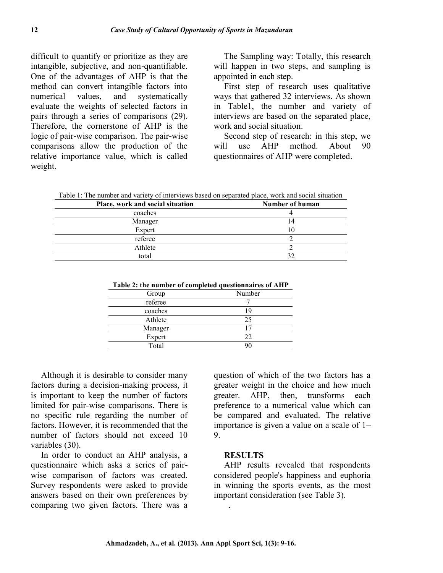difficult to quantify or prioritize as they are intangible, subjective, and non-quantifiable. One of the advantages of AHP is that the method can convert intangible factors into numerical values, and systematically evaluate the weights of selected factors in pairs through a series of comparisons (29). Therefore, the cornerstone of AHP is the logic of pair-wise comparison. The pair-wise comparisons allow the production of the relative importance value, which is called weight.

The Sampling way: Totally, this research will happen in two steps, and sampling is appointed in each step.

First step of research uses qualitative ways that gathered 32 interviews. As shown in Table1, the number and variety of interviews are based on the separated place, work and social situation.

Second step of research: in this step, we use AHP method. About 90 questionnaires of AHP were completed.

Table 1: The number and variety of interviews based on separated place, work and social situation

| Place, work and social situation | Number of human |
|----------------------------------|-----------------|
| coaches                          |                 |
| Manager                          | 14              |
| Expert                           | Ю               |
| referee                          |                 |
| Athlete                          |                 |
| total                            |                 |

|         | Table 2. The number of completed questionnaires of ATTI |
|---------|---------------------------------------------------------|
| Group   | Number                                                  |
| referee |                                                         |
| coaches | 19                                                      |
| Athlete | 25                                                      |
| Manager | 17                                                      |
| Expert  | 22                                                      |
| Total   | 90                                                      |

**Table 2: the number of completed questionnaires of AHP**

Although it is desirable to consider many factors during a decision-making process, it is important to keep the number of factors limited for pair-wise comparisons. There is no specific rule regarding the number of factors. However, it is recommended that the number of factors should not exceed 10 variables (30).

In order to conduct an AHP analysis, a questionnaire which asks a series of pair wise comparison of factors was created. Survey respondents were asked to provide answers based on their own preferences by comparing two given factors. There was a

question of which of the two factors has a greater weight in the choice and how much greater. AHP, then, transforms each preference to a numerical value which can be compared and evaluated. The relative importance is given a value on a scale of 1– 9.

#### **RESULTS**

.

AHP results revealed that respondents considered people's happiness and euphoria in winning the sports events, as the most important consideration (see Table 3).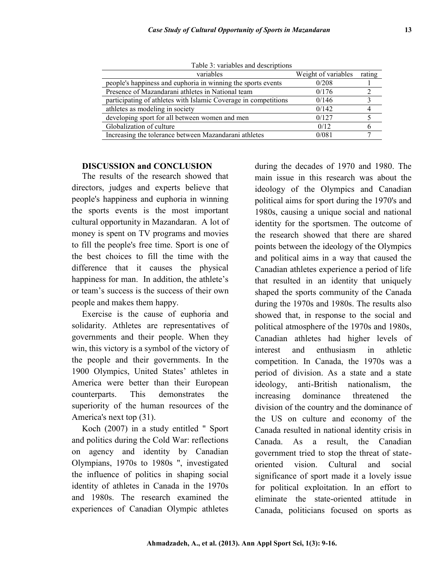| Tuoto 5. variaotos and doscribitons                             |                     |        |
|-----------------------------------------------------------------|---------------------|--------|
| variables                                                       | Weight of variables | rating |
| people's happiness and euphoria in winning the sports events    | 0/208               |        |
| Presence of Mazandarani athletes in National team               | 0/176               |        |
| participating of athletes with Islamic Coverage in competitions | 0/146               |        |
| athletes as modeling in society                                 | 0/142               |        |
| developing sport for all between women and men                  | 0/127               |        |
| Globalization of culture                                        | 0/12                |        |
| Increasing the tolerance between Mazandarani athletes           | 0/081               |        |
|                                                                 |                     |        |

Table 3: variables and descriptions

#### **DISCUSSION and CONCLUSION**

The results of the research showed that directors, judges and experts believe that people's happiness and euphoria in winning the sports events is the most important cultural opportunity in Mazandaran. A lot of money is spent on TV programs and movies to fill the people's free time. Sport is one of the best choices to fill the time with the difference that it causes the physical happiness for man. In addition, the athlete's or team's success is the success of their own people and makes them happy.

Exercise is the cause of euphoria and solidarity. Athletes are representatives of governments and their people. When they win, this victory is a symbol of the victory of the people and their governments. In the 1900 Olympics, United States' athletes in America were better than their European ideology, counterparts. This demonstrates the increasing superiority of the human resources of the America's next top (31).

Koch (2007) in a study entitled " Sport and politics during the Cold War: reflections on agency and identity by Canadian Olympians, 1970s to 1980s ", investigated the influence of politics in shaping social identity of athletes in Canada in the 1970s and 1980s. The research examined the experiences of Canadian Olympic athletes during the decades of 1970 and 1980. The main issue in this research was about the ideology of the Olympics and Canadian political aims for sport during the 1970's and 1980s, causing a unique social and national identity for the sportsmen. The outcome of the research showed that there are shared points between the ideology of the Olympics and political aims in a way that caused the Canadian athletes experience a period of life that resulted in an identity that uniquely shaped the sports community of the Canada during the 1970s and 1980s. The results also showed that, in response to the social and political atmosphere of the 1970s and 1980s, Canadian athletes had higher levels of interest and enthusiasm in athletic competition. In Canada, the 1970s was a period of division. As a state and a state anti-British nationalism, the dominance threatened the division of the country and the dominance of the US on culture and economy of the Canada resulted in national identity crisis in Canada. As a result, the Canadian government tried to stop the threat of state oriented vision. Cultural and social significance of sport made it a lovely issue for political exploitation. In an effort to eliminate the state-oriented attitude in Canada, politicians focused on sports as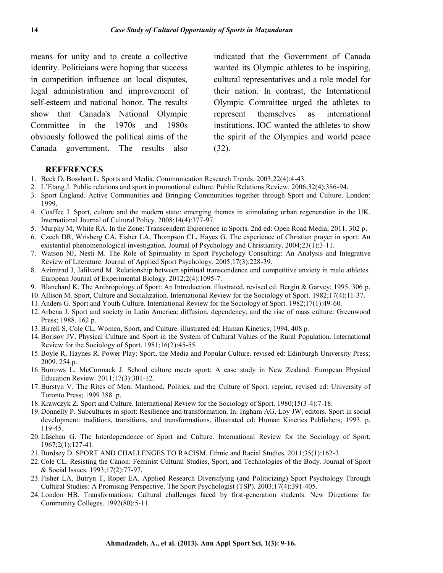means for unity and to create a collective identity. Politicians were hoping that success in competition influence on local disputes, legal administration and improvement of self-esteem and national honor. The results show that Canada's National Olympic Committee in the 1970s and 1980s obviously followed the political aims of the Canada government. The results also

indicated that the Government of Canada wanted its Olympic athletes to be inspiring, cultural representatives and a role model for their nation. In contrast, the International Olympic Committee urged the athletes to represent themselves as international institutions. IOC wanted the athletes to show the spirit of the Olympics and world peace (32).

#### **REFFRENCES**

- 1. Beck D, Bosshart L. Sports and Media. Communication Research Trends. 2003;22(4):4-43.
- 2. L'Etang J. Public relations and sport in promotional culture. Public Relations Review. 2006;32(4):386-94.
- 3. Sport England. Active Communities and Bringing Communities together through Sport and Culture. London: 1999.
- 4. Coaffee J. Sport, culture and the modern state: emerging themes in stimulating urban regeneration in the UK. International Journal of Cultural Policy. 2008;14(4):377-97.
- 5. Murphy M, White RA. In the Zone: Transcendent Experience in Sports. 2nd ed: Open Road Media; 2011. 302 p.
- 6. Czech DR, Wrisberg CA, Fisher LA, Thompson CL, Hayes G. The experience of Christian prayer in sport: An existential phenomenological investigation. Journal of Psychology and Christianity. 2004;23(1):3-11.
- 7. Watson NJ, Nesti M. The Role of Spirituality in Sport Psychology Consulting: An Analysis and Integrative Review of Literature. Journal of Applied Sport Psychology. 2005;17(3):228-39.
- 8. Azimirad J, Jalilvand M. Relationship between spiritual transcendence and competitive anxiety in male athletes. European Journal of Experimental Biology. 2012;2(4):1095-7.
- 9. Blanchard K. The Anthropology of Sport: An Introduction. illustrated, revised ed: Bergin & Garvey; 1995. 306 p.
- 10. Allison M. Sport, Culture and Socialization. International Review for the Sociology of Sport. 1982;17(4):11-37.
- 11. Anders G. Sport and Youth Culture. International Review for the Sociology of Sport. 1982;17(1):49-60.
- 12. Arbena J. Sport and society in Latin America: diffusion, dependency, and the rise of mass culture: Greenwood Press; 1988. 162 p.
- 13. Birrell S, Cole CL. Women, Sport, and Culture. illustrated ed: Human Kinetics; 1994. 408 p.
- 14. Borisov JV. Physical Culture and Sport in the System of Cultural Values of the Rural Population. International Review for the Sociology of Sport. 1981;16(2):45-55.
- 15. Boyle R, Haynes R. Power Play: Sport, the Media and Popular Culture. revised ed: Edinburgh University Press; 2009. 254 p.
- 16. Burrows L, McCormack J. School culture meets sport: A case study in New Zealand. European Physical Education Review. 2011;17(3):301-12.
- 17. Burstyn V. The Rites of Men: Manhood, Politics, and the Culture of Sport. reprint, revised ed: University of Toronto Press; 1999 388 .p.
- 18. Krawczyk Z. Sport and Culture. International Review for the Sociology of Sport. 1980;15(3-4):7-18.
- 19. Donnelly P. Subcultures in sport: Resilience and transformation. In: Ingham AG, Loy JW, editors. Sport in social development: traditions, transitions, and transformations. illustrated ed: Human Kinetics Publishers; 1993. p. 119-45.
- 20. Lüschen G. The Interdependence of Sport and Culture. International Review for the Sociology of Sport. 1967;2(1):127-41.
- 21. Burdsey D. SPORT AND CHALLENGES TO RACISM. Ethnic and Racial Studies. 2011;35(1):162-3.
- 22. Cole CL. Resisting the Canon: Feminist Cultural Studies, Sport, and Technologies of the Body. Journal of Sport & Social Issues. 1993;17(2):77-97.
- 23. Fisher LA, Butryn T, Roper EA. Applied Research Diversifying (and Politicizing) Sport Psychology Through Cultural Studies: A Promising Perspective. The Sport Psychologist (TSP). 2003;17(4):391-405.
- 24. London HB. Transformations: Cultural challenges faced by first-generation students. New Directions for Community Colleges. 1992(80):5-11.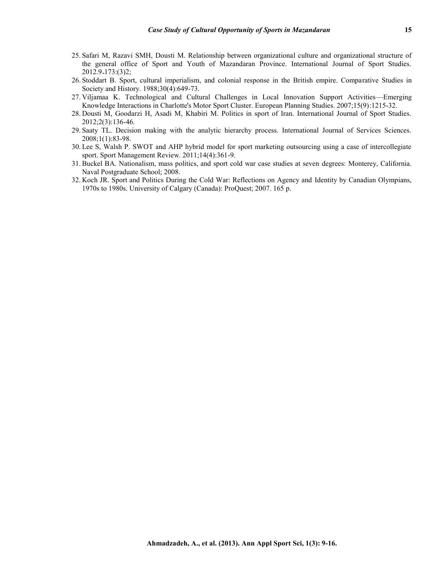- 25. Safari M, Razavi SMH, Dousti M. Relationship between organizational culture and organizational structure of the general office of Sport and Youth of Mazandaran Province. International Journal of Sport Studies. 2012.9 -173:(3)2;
- 26. Stoddart B. Sport, cultural imperialism, and colonial response in the British empire. Comparative Studies in Society and History. 1988;30(4):649-73.
- 27. Viljamaa K. Technological and Cultural Challenges in Local Innovation Support Activities—Emerging Knowledge Interactions in Charlotte's Motor Sport Cluster. European Planning Studies. 2007;15(9):1215-32.
- 28. Dousti M, Goodarzi H, Asadi M, Khabiri M. Politics in sport of Iran. International Journal of Sport Studies. 2012;2(3):136-46.
- 29. Saaty TL. Decision making with the analytic hierarchy process. International Journal of Services Sciences. 2008;1(1):83-98.
- 30. Lee S, Walsh P. SWOT and AHP hybrid model for sport marketing outsourcing using a case of intercollegiate sport. Sport Management Review. 2011;14(4):361-9.
- 31. Buckel BA. Nationalism, mass politics, and sport cold war case studies at seven degrees: Monterey, California. Naval Postgraduate School; 2008.
- 32. Koch JR. Sport and Politics During the Cold War: Reflections on Agency and Identity by Canadian Olympians, 1970s to 1980s. University of Calgary (Canada): ProQuest; 2007. 165 p.